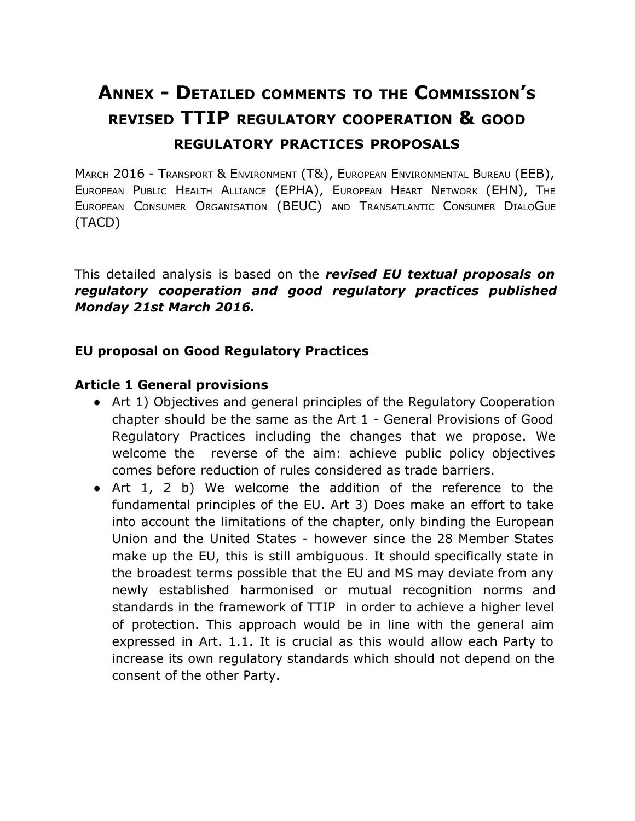# **ANNEX DETAILED COMMENTS TO THE COMMISSION'S REVISED TTIP REGULATORY COOPERATION & GOOD REGULATORY PRACTICES PROPOSALS**

MARCH 2016 - TRANSPORT & ENVIRONMENT (T&), EUROPEAN ENVIRONMENTAL BUREAU (EEB), EUROPEAN PUBLIC HEALTH ALLIANCE (EPHA), EUROPEAN HEART NETWORK (EHN), THE EUROPEAN CONSUMER ORGANISATION (BEUC) AND TRANSATLANTIC CONSUMER DIALOGUE (TACD)

This detailed analysis is based on the *revised EU textual proposals on regulatory cooperation and good regulatory practices published Monday 21st March 2016.*

#### **EU proposal on Good Regulatory Practices**

#### **Article 1 General provisions**

- Art 1) Objectives and general principles of the Regulatory Cooperation chapter should be the same as the Art 1 - General Provisions of Good Regulatory Practices including the changes that we propose. We welcome the reverse of the aim: achieve public policy objectives comes before reduction of rules considered as trade barriers.
- Art 1, 2 b) We welcome the addition of the reference to the fundamental principles of the EU. Art 3) Does make an effort to take into account the limitations of the chapter, only binding the European Union and the United States - however since the 28 Member States make up the EU, this is still ambiguous. It should specifically state in the broadest terms possible that the EU and MS may deviate from any newly established harmonised or mutual recognition norms and standards in the framework of TTIP in order to achieve a higher level of protection. This approach would be in line with the general aim expressed in Art. 1.1. It is crucial as this would allow each Party to increase its own regulatory standards which should not depend on the consent of the other Party.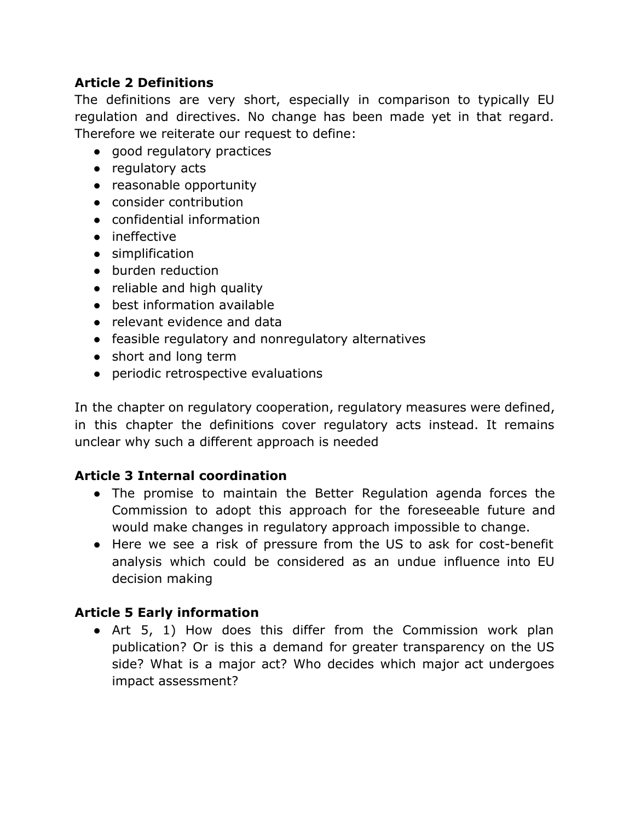#### **Article 2 Definitions**

The definitions are very short, especially in comparison to typically EU regulation and directives. No change has been made yet in that regard. Therefore we reiterate our request to define:

- good regulatory practices
- regulatory acts
- reasonable opportunity
- consider contribution
- confidential information
- ineffective
- simplification
- burden reduction
- reliable and high quality
- best information available
- relevant evidence and data
- feasible regulatory and nonregulatory alternatives
- short and long term
- periodic retrospective evaluations

In the chapter on regulatory cooperation, regulatory measures were defined, in this chapter the definitions cover regulatory acts instead. It remains unclear why such a different approach is needed

#### **Article 3 Internal coordination**

- The promise to maintain the Better Regulation agenda forces the Commission to adopt this approach for the foreseeable future and would make changes in regulatory approach impossible to change.
- Here we see a risk of pressure from the US to ask for cost-benefit analysis which could be considered as an undue influence into EU decision making

#### **Article 5 Early information**

• Art 5, 1) How does this differ from the Commission work plan publication? Or is this a demand for greater transparency on the US side? What is a major act? Who decides which major act undergoes impact assessment?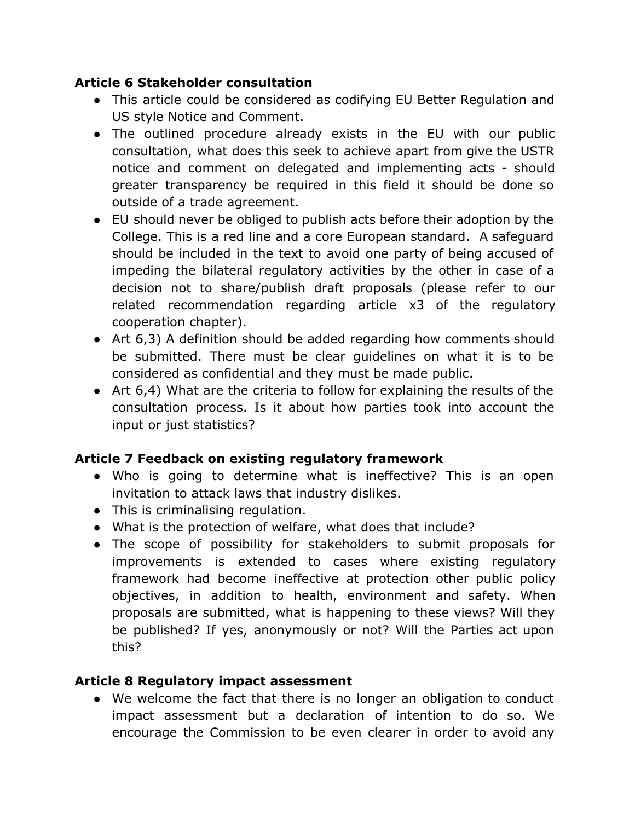## **Article 6 Stakeholder consultation**

- This article could be considered as codifying EU Better Regulation and US style Notice and Comment.
- The outlined procedure already exists in the EU with our public consultation, what does this seek to achieve apart from give the USTR notice and comment on delegated and implementing acts - should greater transparency be required in this field it should be done so outside of a trade agreement.
- EU should never be obliged to publish acts before their adoption by the College. This is a red line and a core European standard. A safeguard should be included in the text to avoid one party of being accused of impeding the bilateral regulatory activities by the other in case of a decision not to share/publish draft proposals (please refer to our related recommendation regarding article x3 of the regulatory cooperation chapter).
- Art 6,3) A definition should be added regarding how comments should be submitted. There must be clear guidelines on what it is to be considered as confidential and they must be made public.
- Art 6,4) What are the criteria to follow for explaining the results of the consultation process. Is it about how parties took into account the input or just statistics?

# **Article 7 Feedback on existing regulatory framework**

- Who is going to determine what is ineffective? This is an open invitation to attack laws that industry dislikes.
- This is criminalising regulation.
- What is the protection of welfare, what does that include?
- The scope of possibility for stakeholders to submit proposals for improvements is extended to cases where existing regulatory framework had become ineffective at protection other public policy objectives, in addition to health, environment and safety. When proposals are submitted, what is happening to these views? Will they be published? If yes, anonymously or not? Will the Parties act upon this?

# **Article 8 Regulatory impact assessment**

• We welcome the fact that there is no longer an obligation to conduct impact assessment but a declaration of intention to do so. We encourage the Commission to be even clearer in order to avoid any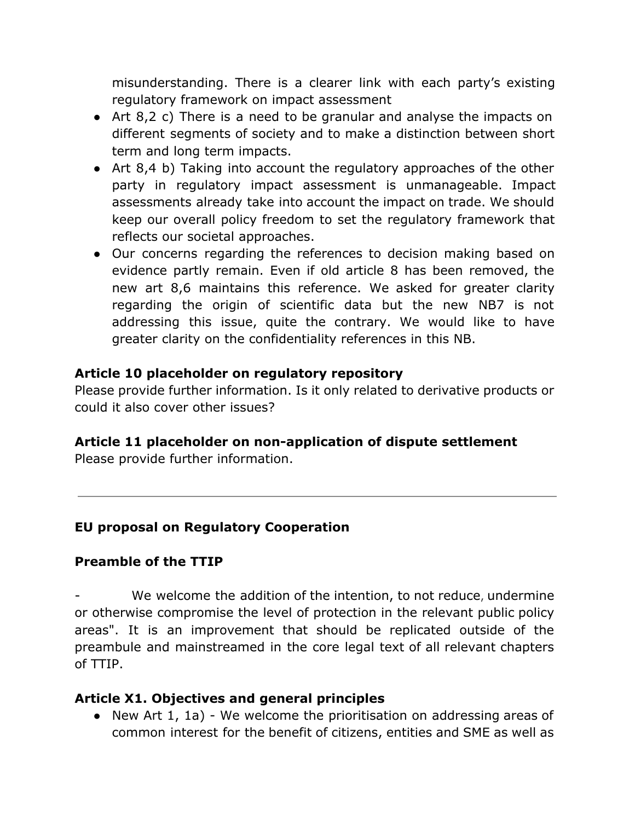misunderstanding. There is a clearer link with each party's existing regulatory framework on impact assessment

- Art 8,2 c) There is a need to be granular and analyse the impacts on different segments of society and to make a distinction between short term and long term impacts.
- Art 8,4 b) Taking into account the regulatory approaches of the other party in regulatory impact assessment is unmanageable. Impact assessments already take into account the impact on trade. We should keep our overall policy freedom to set the regulatory framework that reflects our societal approaches.
- Our concerns regarding the references to decision making based on evidence partly remain. Even if old article 8 has been removed, the new art 8,6 maintains this reference. We asked for greater clarity regarding the origin of scientific data but the new NB7 is not addressing this issue, quite the contrary. We would like to have greater clarity on the confidentiality references in this NB.

#### **Article 10 placeholder on regulatory repository**

Please provide further information. Is it only related to derivative products or could it also cover other issues?

#### **Article 11 placeholder on nonapplication of dispute settlement**

Please provide further information.

#### **EU proposal on Regulatory Cooperation**

#### **Preamble of the TTIP**

 We welcome the addition of the intention, to not reduce, undermine or otherwise compromise the level of protection in the relevant public policy areas". It is an improvement that should be replicated outside of the preambule and mainstreamed in the core legal text of all relevant chapters of TTIP.

#### **Article X1. Objectives and general principles**

• New Art 1, 1a) - We welcome the prioritisation on addressing areas of common interest for the benefit of citizens, entities and SME as well as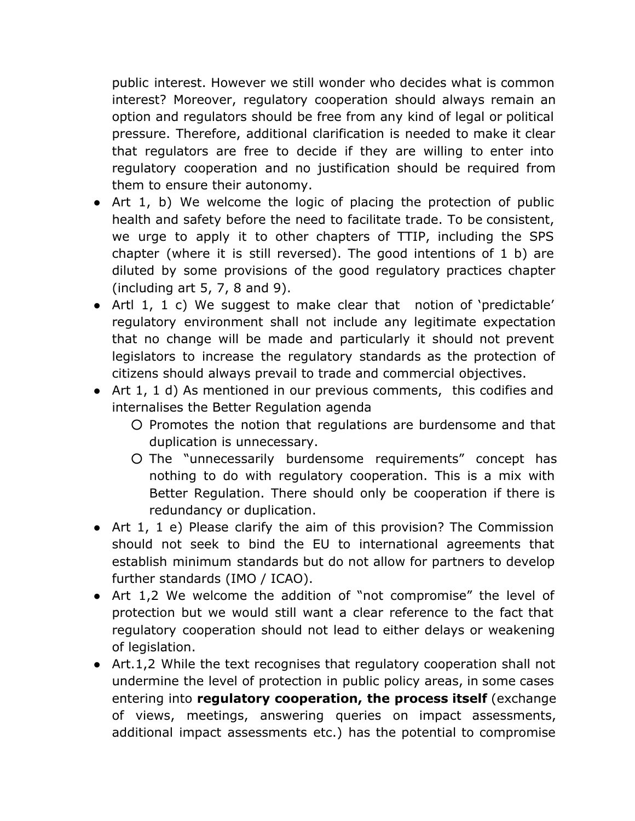public interest. However we still wonder who decides what is common interest? Moreover, regulatory cooperation should always remain an option and regulators should be free from any kind of legal or political pressure. Therefore, additional clarification is needed to make it clear that regulators are free to decide if they are willing to enter into regulatory cooperation and no justification should be required from them to ensure their autonomy.

- Art 1, b) We welcome the logic of placing the protection of public health and safety before the need to facilitate trade. To be consistent, we urge to apply it to other chapters of TTIP, including the SPS chapter (where it is still reversed). The good intentions of 1 b) are diluted by some provisions of the good regulatory practices chapter (including art 5, 7, 8 and 9).
- Artl 1, 1 c) We suggest to make clear that notion of 'predictable' regulatory environment shall not include any legitimate expectation that no change will be made and particularly it should not prevent legislators to increase the regulatory standards as the protection of citizens should always prevail to trade and commercial objectives.
- Art 1, 1 d) As mentioned in our previous comments, this codifies and internalises the Better Regulation agenda
	- Promotes the notion that regulations are burdensome and that duplication is unnecessary.
	- The "unnecessarily burdensome requirements" concept has nothing to do with regulatory cooperation. This is a mix with Better Regulation. There should only be cooperation if there is redundancy or duplication.
- Art 1, 1 e) Please clarify the aim of this provision? The Commission should not seek to bind the EU to international agreements that establish minimum standards but do not allow for partners to develop further standards (IMO / ICAO).
- Art 1,2 We welcome the addition of "not compromise" the level of protection but we would still want a clear reference to the fact that regulatory cooperation should not lead to either delays or weakening of legislation.
- Art.1,2 While the text recognises that regulatory cooperation shall not undermine the level of protection in public policy areas, in some cases entering into **regulatory cooperation, the process itself** (exchange of views, meetings, answering queries on impact assessments, additional impact assessments etc.) has the potential to compromise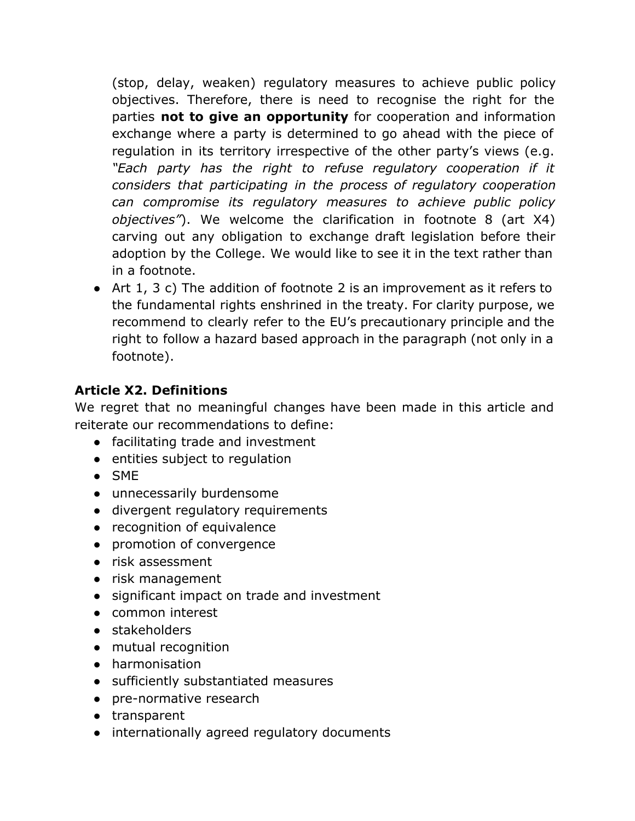(stop, delay, weaken) regulatory measures to achieve public policy objectives. Therefore, there is need to recognise the right for the parties **not to give an opportunity** for cooperation and information exchange where a party is determined to go ahead with the piece of regulation in its territory irrespective of the other party's views (e.g. *"Each party has the right to refuse regulatory cooperation if it considers that participating in the process of regulatory cooperation can compromise its regulatory measures to achieve public policy objectives"*). We welcome the clarification in footnote 8 (art X4) carving out any obligation to exchange draft legislation before their adoption by the College. We would like to see it in the text rather than in a footnote.

● Art 1, 3 c) The addition of footnote 2 is an improvement as it refers to the fundamental rights enshrined in the treaty. For clarity purpose, we recommend to clearly refer to the EU's precautionary principle and the right to follow a hazard based approach in the paragraph (not only in a footnote).

# **Article X2. Definitions**

We regret that no meaningful changes have been made in this article and reiterate our recommendations to define:

- facilitating trade and investment
- entities subject to regulation
- SME
- unnecessarily burdensome
- divergent regulatory requirements
- recognition of equivalence
- promotion of convergence
- risk assessment
- risk management
- significant impact on trade and investment
- common interest
- stakeholders
- mutual recognition
- harmonisation
- sufficiently substantiated measures
- pre-normative research
- transparent
- internationally agreed regulatory documents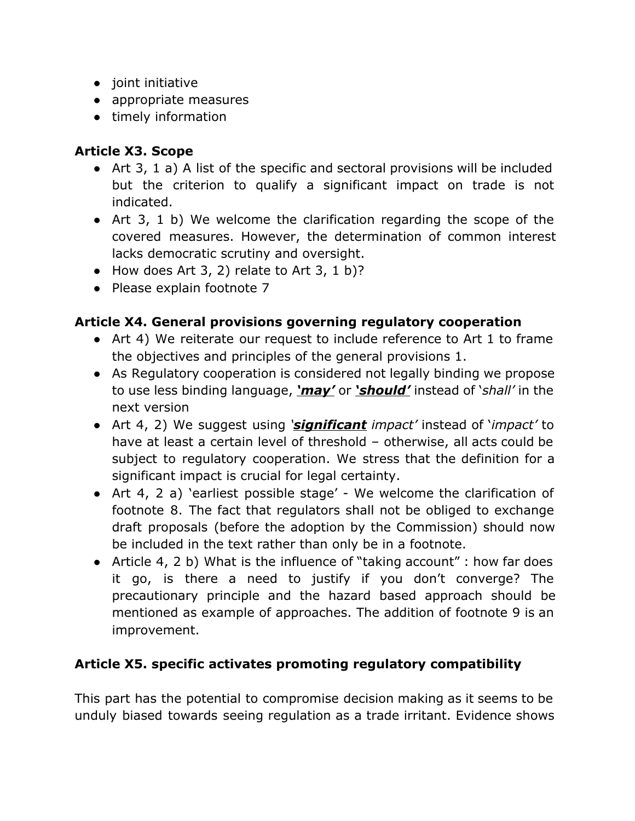- joint initiative
- appropriate measures
- timely information

# **Article X3. Scope**

- Art 3, 1 a) A list of the specific and sectoral provisions will be included but the criterion to qualify a significant impact on trade is not indicated.
- Art 3, 1 b) We welcome the clarification regarding the scope of the covered measures. However, the determination of common interest lacks democratic scrutiny and oversight.
- $\bullet$  How does Art 3, 2) relate to Art 3, 1 b)?
- Please explain footnote 7

# **Article X4. General provisions governing regulatory cooperation**

- Art 4) We reiterate our request to include reference to Art 1 to frame the objectives and principles of the general provisions 1.
- As Regulatory cooperation is considered not legally binding we propose to use less binding language, *'may'* or *'should'* instead of '*shall'* in the next version
- Art 4, 2) We suggest using *'significant impact'* instead of '*impact'* to have at least a certain level of threshold – otherwise, all acts could be subject to regulatory cooperation. We stress that the definition for a significant impact is crucial for legal certainty.
- Art 4, 2 a) 'earliest possible stage' We welcome the clarification of footnote 8. The fact that regulators shall not be obliged to exchange draft proposals (before the adoption by the Commission) should now be included in the text rather than only be in a footnote.
- Article 4, 2 b) What is the influence of "taking account" : how far does it go, is there a need to justify if you don't converge? The precautionary principle and the hazard based approach should be mentioned as example of approaches. The addition of footnote 9 is an improvement.

# **Article X5. specific activates promoting regulatory compatibility**

This part has the potential to compromise decision making as it seems to be unduly biased towards seeing regulation as a trade irritant. Evidence shows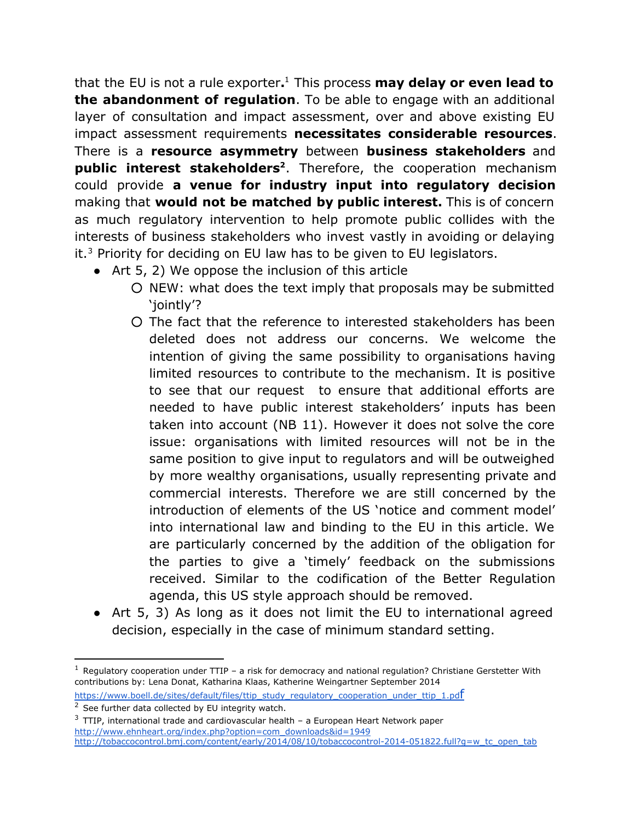that the EU is not a rule exporter**.** This process **may delay or even lead to** 1 **the abandonment of regulation**. To be able to engage with an additional layer of consultation and impact assessment, over and above existing EU impact assessment requirements **necessitates considerable resources**. There is a **resource asymmetry** between **business stakeholders** and **public interest stakeholders <sup>2</sup>**. Therefore, the cooperation mechanism could provide **a venue for industry input into regulatory decision** making that **would not be matched by public interest.** This is of concern as much regulatory intervention to help promote public collides with the interests of business stakeholders who invest vastly in avoiding or delaying it. $3$  Priority for deciding on EU law has to be given to EU legislators.

- Art 5, 2) We oppose the inclusion of this article
	- NEW: what does the text imply that proposals may be submitted 'jointly'?
	- The fact that the reference to interested stakeholders has been deleted does not address our concerns. We welcome the intention of giving the same possibility to organisations having limited resources to contribute to the mechanism. It is positive to see that our request to ensure that additional efforts are needed to have public interest stakeholders' inputs has been taken into account (NB 11). However it does not solve the core issue: organisations with limited resources will not be in the same position to give input to regulators and will be outweighed by more wealthy organisations, usually representing private and commercial interests. Therefore we are still concerned by the introduction of elements of the US 'notice and comment model' into international law and binding to the EU in this article. We are particularly concerned by the addition of the obligation for the parties to give a 'timely' feedback on the submissions received. Similar to the codification of the Better Regulation agenda, this US style approach should be removed.
- Art 5, 3) As long as it does not limit the EU to international agreed decision, especially in the case of minimum standard setting.

```
https://www.boell.de/sites/default/files/ttip_study_regulatory_cooperation_under_ttip_1.pdf
```
 $1$  Regulatory cooperation under TTIP – a risk for democracy and national regulation? C[hr](https://www.boell.de/sites/default/files/ttip_study_regulatory_cooperation_under_ttip_1.pdf)istiane Gerstetter With contributions by: Lena Donat, Katharina Klaas, Katherine Weingartner September 2014

 $2$  See further data collected by EU integrity watch.

 $3$  TTIP, international trade and cardiovascular health – a European Heart Network paper [http://www.ehnheart.org/index.php?option=com\\_downloads&id=1949](http://www.ehnheart.org/index.php?option=com_downloads&id=1949)

http://tobaccocontrol.bmj.com/content/early/2014/08/10/tobaccocontrol-2014-051822.full?q=w\_tc\_open\_tab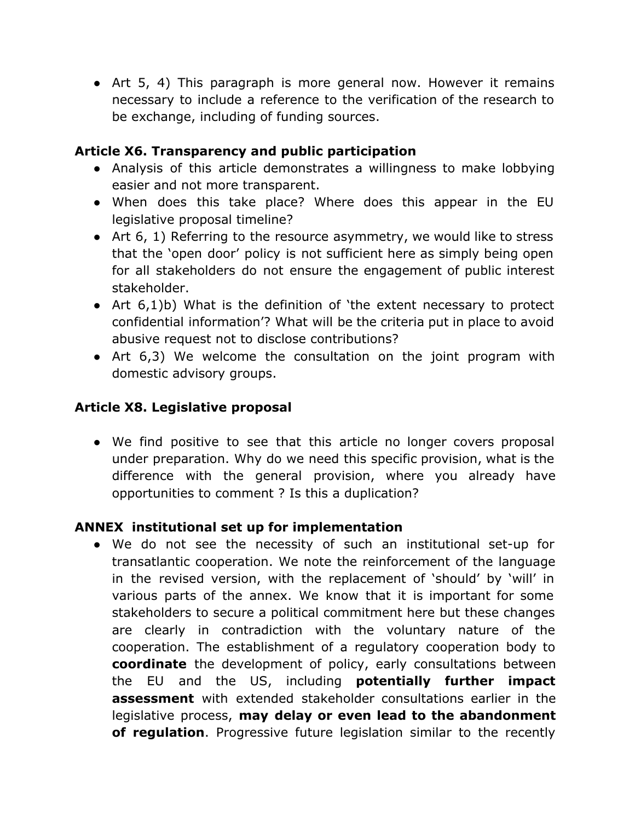• Art 5, 4) This paragraph is more general now. However it remains necessary to include a reference to the verification of the research to be exchange, including of funding sources.

### **Article X6. Transparency and public participation**

- Analysis of this article demonstrates a willingness to make lobbying easier and not more transparent.
- When does this take place? Where does this appear in the EU legislative proposal timeline?
- Art 6, 1) Referring to the resource asymmetry, we would like to stress that the 'open door' policy is not sufficient here as simply being open for all stakeholders do not ensure the engagement of public interest stakeholder.
- Art 6,1)b) What is the definition of 'the extent necessary to protect confidential information'? What will be the criteria put in place to avoid abusive request not to disclose contributions?
- Art 6,3) We welcome the consultation on the joint program with domestic advisory groups.

# **Article X8. Legislative proposal**

• We find positive to see that this article no longer covers proposal under preparation. Why do we need this specific provision, what is the difference with the general provision, where you already have opportunities to comment ? Is this a duplication?

#### **ANNEX institutional set up for implementation**

• We do not see the necessity of such an institutional set-up for transatlantic cooperation. We note the reinforcement of the language in the revised version, with the replacement of 'should' by 'will' in various parts of the annex. We know that it is important for some stakeholders to secure a political commitment here but these changes are clearly in contradiction with the voluntary nature of the cooperation. The establishment of a regulatory cooperation body to **coordinate** the development of policy, early consultations between the EU and the US, including **potentially further impact assessment** with extended stakeholder consultations earlier in the legislative process, **may delay or even lead to the abandonment of regulation**. Progressive future legislation similar to the recently